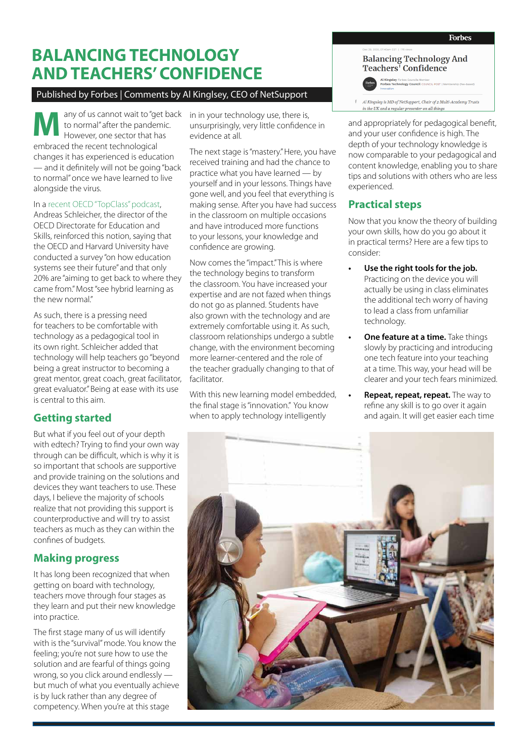# **BALANCING TECHNOLOGY AND TEACHERS' CONFIDENCE**

#### Published by Forbes | Comments by Al Kinglsey, CEO of NetSupport

any of us cannot wait to "get back to normal" after the pandemic. However, one sector that has **M** embraced the recent technological changes it has experienced is education — and it definitely will not be going "back to normal" once we have learned to live alongside the virus.

#### In a [recent OECD "TopClass" podcast](https://soundcloud.com/oecdtopclasspodcast/episode-25-will-the-coronavirus-crisis-lead-to-a-fundamental-change-in-education),

Andreas Schleicher, the director of the OECD Directorate for Education and Skills, reinforced this notion, saying that the OECD and Harvard University have conducted a survey "on how education systems see their future" and that only 20% are "aiming to get back to where they came from." Most "see hybrid learning as the new normal."

As such, there is a pressing need for teachers to be comfortable with technology as a pedagogical tool in its own right. Schleicher added that technology will help teachers go "beyond being a great instructor to becoming a great mentor, great coach, great facilitator, great evaluator." Being at ease with its use is central to this aim.

### **Getting started**

But what if you feel out of your depth with edtech? Trying to find your own way through can be difficult, which is why it is so important that schools are supportive and provide training on the solutions and devices they want teachers to use. These days, I believe the majority of schools realize that not providing this support is counterproductive and will try to assist teachers as much as they can within the confines of budgets.

#### **Making progress**

It has long been recognized that when getting on board with technology, teachers move through four stages as they learn and put their new knowledge into practice.

The first stage many of us will identify with is the "survival" mode. You know the feeling; you're not sure how to use the solution and are fearful of things going wrong, so you click around endlessly but much of what you eventually achieve is by luck rather than any degree of competency. When you're at this stage

in in your technology use, there is, unsurprisingly, very little confidence in evidence at all.

The next stage is "mastery." Here, you have received training and had the chance to practice what you have learned — by yourself and in your lessons. Things have gone well, and you feel that everything is making sense. After you have had success in the classroom on multiple occasions and have introduced more functions to your lessons, your knowledge and confidence are growing.

Now comes the "impact." This is where the technology begins to transform the classroom. You have increased your expertise and are not fazed when things do not go as planned. Students have also grown with the technology and are extremely comfortable using it. As such, classroom relationships undergo a subtle change, with the environment becoming more learner-centered and the role of the teacher gradually changing to that of facilitator.

With this new learning model embedded, the final stage is "innovation." You know when to apply technology intelligently

## **Balancing Technology And** Teachers<sup>Y</sup> Confidence Al Kingsley Forbes Councils Member<br>Forbes Technology Council COUNCIL POST | Memb

 $$\uparrow$$  Al Kingsley is MD of NetSupport, Chair of 2 Multi-Academy Trusts

and appropriately for pedagogical benefit, and your user confidence is high. The depth of your technology knowledge is now comparable to your pedagogical and content knowledge, enabling you to share tips and solutions with others who are less experienced.

#### **Practical steps**

Now that you know the theory of building your own skills, how do you go about it in practical terms? Here are a few tips to consider:

- **• Use the right tools for the job.**  Practicing on the device you will actually be using in class eliminates the additional tech worry of having to lead a class from unfamiliar technology.
- **• One feature at a time.** Take things slowly by practicing and introducing one tech feature into your teaching at a time. This way, your head will be clearer and your tech fears minimized.
- **• Repeat, repeat, repeat.** The way to refine any skill is to go over it again and again. It will get easier each time